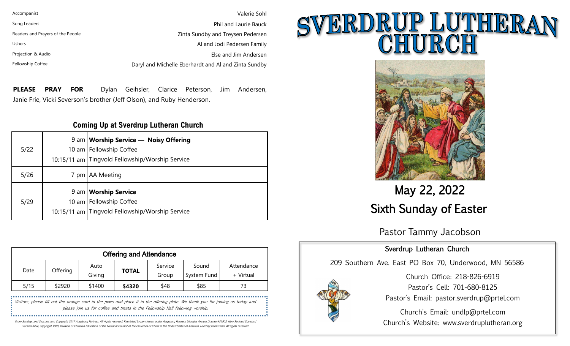| Accompanist                       | Valerie Sohl                                         |
|-----------------------------------|------------------------------------------------------|
| Song Leaders                      | Phil and Laurie Bauck                                |
| Readers and Prayers of the People | Zinta Sundby and Treysen Pedersen                    |
| <b>Ushers</b>                     | Al and Jodi Pedersen Family                          |
| Projection & Audio                | Else and Jim Andersen                                |
| Fellowship Coffee                 | Daryl and Michelle Eberhardt and Al and Zinta Sundby |

**PLEASE PRAY FOR** Dylan Geihsler, Clarice Peterson, Jim Andersen, Janie Frie, Vicki Severson's brother (Jeff Olson), and Ruby Henderson.

#### **Coming Up at Sverdrup Lutheran Church**

| 5/22 | 9 am   Worship Service — Noisy Offering<br>10 am   Fellowship Coffee<br>10:15/11 am Tingvold Fellowship/Worship Service |
|------|-------------------------------------------------------------------------------------------------------------------------|
| 5/26 | 7 pm   AA Meeting                                                                                                       |
| 5/29 | 9 am   Worship Service<br>10 am Fellowship Coffee<br>10:15/11 am Tingvold Fellowship/Worship Service                    |

| <b>Offering and Attendance</b> |          |                |              |                  |                      |                         |
|--------------------------------|----------|----------------|--------------|------------------|----------------------|-------------------------|
| Date                           | Offering | Auto<br>Giving | <b>TOTAL</b> | Service<br>Group | Sound<br>System Fund | Attendance<br>+ Virtual |
| 5/15                           | \$2920   | \$1400         | \$4320       | \$48             | \$85                 | 73                      |

Visitors, please fill out the orange card in the pews and place it in the offering plate. We thank you for joining us today and please join us for coffee and treats in the Fellowship Hall following worship.

From Sundays and Seasons.com Copyright 2017 Augsburg Fortress. All rights reserved. Reprinted by permission under Augsburg Fortress Liturgies Annual License #31902. New Revised Standard

Version Bible, copyright 1989, Division of Christian Education of the National Council of the Churches of Christ in the United States of America. Used by permission. All rights reserved.

# SVERDRUP LUTHERAI



## May 22, 2022 Sixth Sunday of Easter

Pastor Tammy Jacobson

### Sverdrup Lutheran Church

209 Southern Ave. East PO Box 70, Underwood, MN 56586



Church Office: 218-826-6919 Pastor's Cell: 701-680-8125 Pastor's Email: pastor.sverdrup@prtel.com

Church's Email: undlp@prtel.com Church's Website: www.sverdruplutheran.org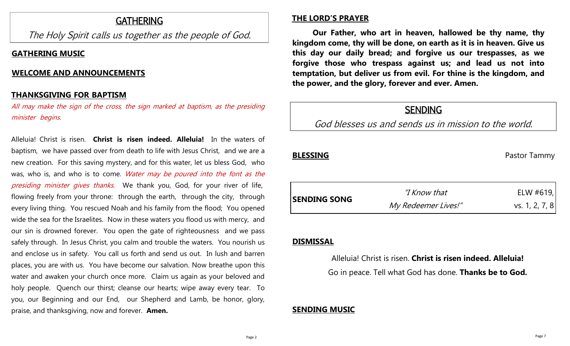## GATHERING

The Holy Spirit calls us together as the people of God.

#### **GATHERING MUSIC**

#### **WELCOME AND ANNOUNCEMENTS**

#### **THANKSGIVING FOR BAPTISM ………………………………………………………**

All may make the sign of the cross, the sign marked at baptism, as the presiding minister begins.

Alleluia! Christ is risen. **Christ is risen indeed. Alleluia!** In the waters of baptism, we have passed over from death to life with Jesus Christ, and we are a new creation. For this saving mystery, and for this water, let us bless God, who was, who is, and who is to come. Water may be poured into the font as the presiding minister gives thanks. We thank you, God, for your river of life, flowing freely from your throne: through the earth, through the city, through every living thing. You rescued Noah and his family from the flood; You opened wide the sea for the Israelites. Now in these waters you flood us with mercy, and our sin is drowned forever. You open the gate of righteousness and we pass safely through. In Jesus Christ, you calm and trouble the waters. You nourish us and enclose us in safety. You call us forth and send us out. In lush and barren places, you are with us. You have become our salvation. Now breathe upon this water and awaken your church once more. Claim us again as your beloved and holy people. Quench our thirst; cleanse our hearts; wipe away every tear. To you, our Beginning and our End, our Shepherd and Lamb, be honor, glory, praise, and thanksgiving, now and forever. **Amen.**

#### **THE LORD'S PRAYER**

**Our Father, who art in heaven, hallowed be thy name, thy kingdom come, thy will be done, on earth as it is in heaven. Give us this day our daily bread; and forgive us our trespasses, as we forgive those who trespass against us; and lead us not into temptation, but deliver us from evil. For thine is the kingdom, and the power, and the glory, forever and ever. Amen.**

## **SENDING**

God blesses us and sends us in mission to the world.

**BLESSING** Pastor Tammy

| <b>SENDING SONG</b> | "I Know that"       | ELW #619,      |
|---------------------|---------------------|----------------|
|                     | My Redeemer Lives!" | vs. 1, 2, 7, 8 |

#### **DISMISSAL**

Alleluia! Christ is risen. **Christ is risen indeed. Alleluia!** Go in peace. Tell what God has done. **Thanks be to God.**

#### **SENDING MUSIC**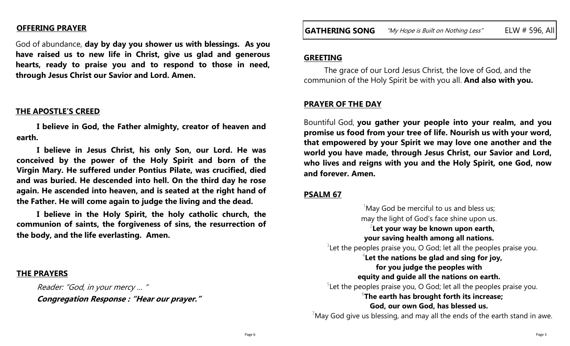#### **OFFERING PRAYER**

God of abundance, **day by day you shower us with blessings. As you have raised us to new life in Christ, give us glad and generous hearts, ready to praise you and to respond to those in need, through Jesus Christ our Savior and Lord. Amen.**

#### **THE APOSTLE'S CREED**

**I believe in God, the Father almighty, creator of heaven and earth.**

**I believe in Jesus Christ, his only Son, our Lord. He was conceived by the power of the Holy Spirit and born of the Virgin Mary. He suffered under Pontius Pilate, was crucified, died and was buried. He descended into hell. On the third day he rose again. He ascended into heaven, and is seated at the right hand of the Father. He will come again to judge the living and the dead.**

**I believe in the Holy Spirit, the holy catholic church, the communion of saints, the forgiveness of sins, the resurrection of the body, and the life everlasting. Amen.**

#### **THE PRAYERS**

Reader: "God, in your mercy … " **Congregation Response : "Hear our prayer."**

#### **GREETING**

The grace of our Lord Jesus Christ, the love of God, and the communion of the Holy Spirit be with you all. **And also with you.**

#### **PRAYER OF THE DAY**

Bountiful God, **you gather your people into your realm, and you promise us food from your tree of life. Nourish us with your word, that empowered by your Spirit we may love one another and the world you have made, through Jesus Christ, our Savior and Lord, who lives and reigns with you and the Holy Spirit, one God, now and forever. Amen.**

#### **PSALM 67**

 $1$ May God be merciful to us and bless us; may the light of God's face shine upon us. 2 **Let your way be known upon earth, your saving health among all nations.**  $3$ Let the peoples praise you, O God; let all the peoples praise you. 4 **Let the nations be glad and sing for joy, for you judge the peoples with equity and guide all the nations on earth.**  $5$ Let the peoples praise you, O God; let all the peoples praise you. 6 **The earth has brought forth its increase; God, our own God, has blessed us.**

 $7$ May God give us blessing, and may all the ends of the earth stand in awe.